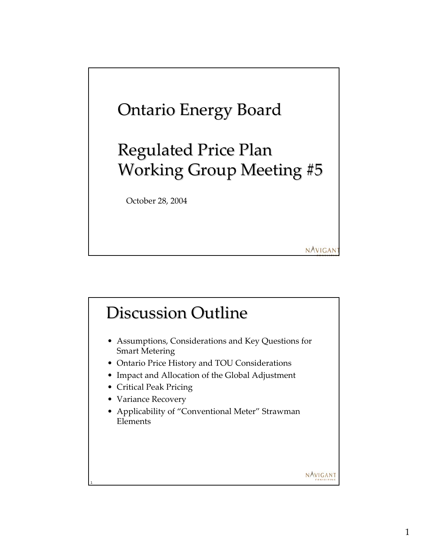

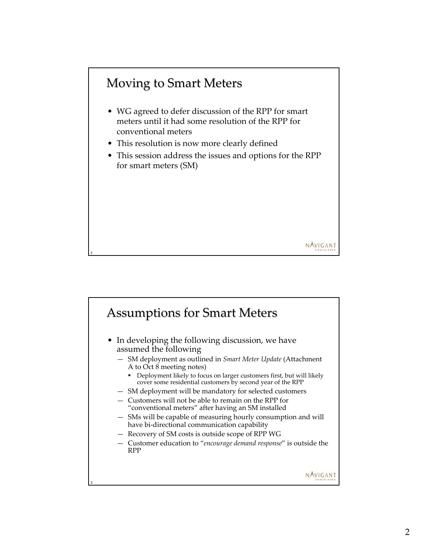# Moving to Smart Meters

2

- WG agreed to defer discussion of the RPP for smart meters until it had some resolution of the RPP for conventional meters
- This resolution is now more clearly defined
- This session address the issues and options for the RPP for smart meters (SM)

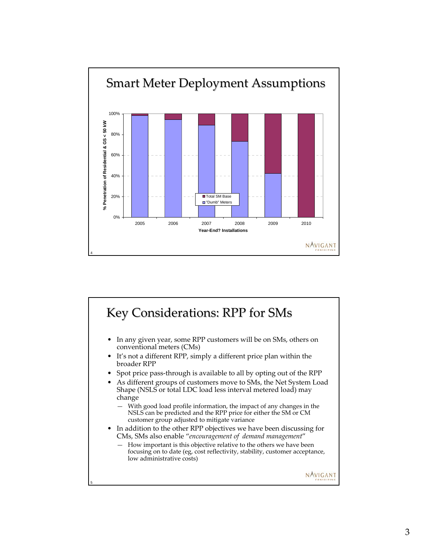

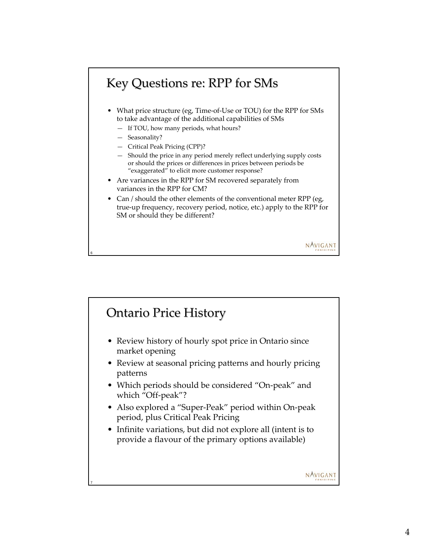# Key Questions re: RPP for SMs

- What price structure (eg, Time-of-Use or TOU) for the RPP for SMs to take advantage of the additional capabilities of SMs
	- If TOU, how many periods, what hours?
	- Seasonality?

6

- Critical Peak Pricing (CPP)?
- Should the price in any period merely reflect underlying supply costs or should the prices or differences in prices between periods be "exaggerated" to elicit more customer response?
- Are variances in the RPP for SM recovered separately from variances in the RPP for CM?
- Can / should the other elements of the conventional meter RPP (eg, true-up frequency, recovery period, notice, etc.) apply to the RPP for SM or should they be different?

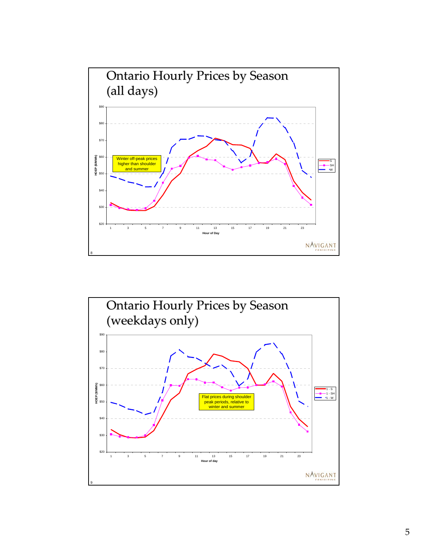

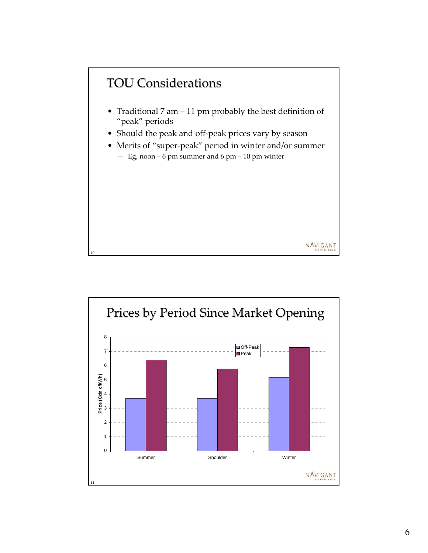

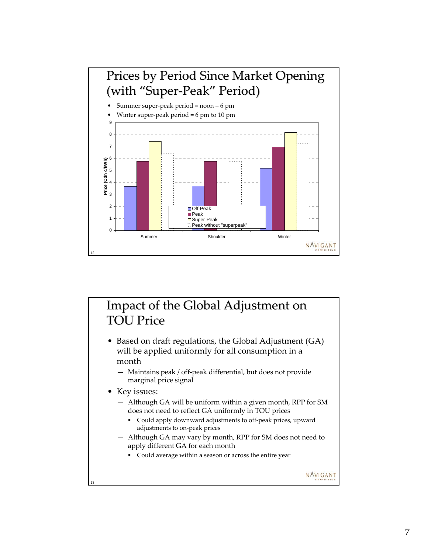

### Impact of the Global Adjustment on **TOU Price**

- Based on draft regulations, the Global Adjustment (GA) will be applied uniformly for all consumption in a month
	- Maintains peak / off-peak differential, but does not provide marginal price signal
- Key issues:

13

- Although GA will be uniform within a given month, RPP for SM does not need to reflect GA uniformly in TOU prices
	- Could apply downward adjustments to off-peak prices, upward adjustments to on-peak prices
- Although GA may vary by month, RPP for SM does not need to apply different GA for each month
	- Could average within a season or across the entire year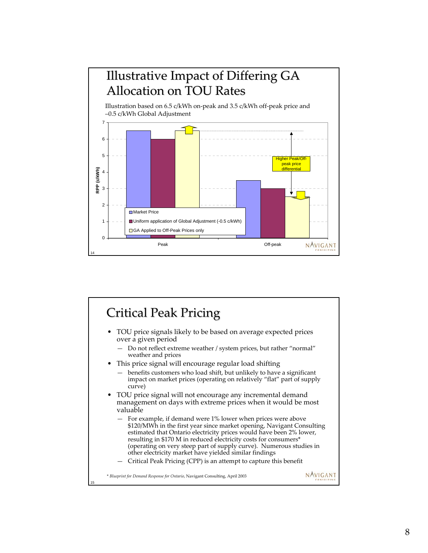

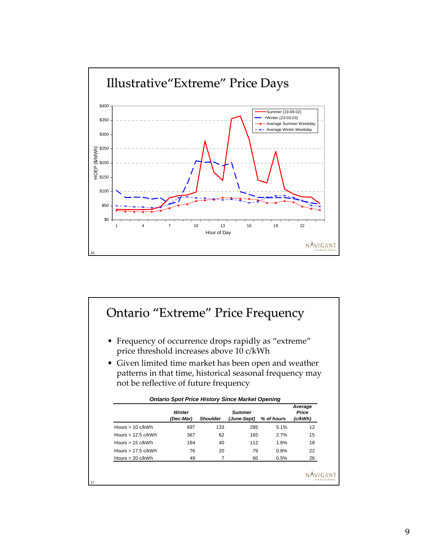

#### Ontario "Extreme" Price Frequency

- Frequency of occurrence drops rapidly as "extreme" price threshold increases above 10 c/kWh
- Given limited time market has been open and weather patterns in that time, historical seasonal frequency may not be reflective of future frequency

*Ontario Spot Price History Since Market Opening*

|                      | <b>Winter</b><br>(Dec-Mar) | <b>Shoulder</b> | Summer<br>(June-Sept) | % of hours | Average<br>Price<br>(c/kWh) |
|----------------------|----------------------------|-----------------|-----------------------|------------|-----------------------------|
| Hours $> 10$ c/kWh   | 697                        | 133             | 285                   | 5.1%       | 12                          |
| Hours $> 12.5$ c/kWh | 367                        | 62              | 165                   | 2.7%       | 15                          |
| Hours $> 15$ c/kWh   | 184                        | 40              | 112                   | 1.6%       | 18                          |
| Hours $> 17.5$ c/kWh | 76                         | 20              | 79                    | 0.8%       | 22                          |
| Hours > 20 c/kWh     | 49                         |                 | 60                    | 0.5%       | 26                          |

17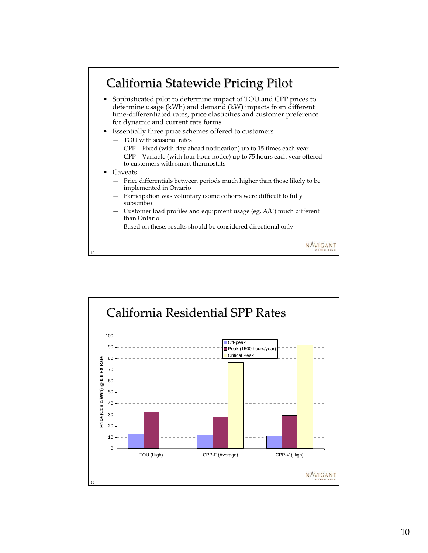

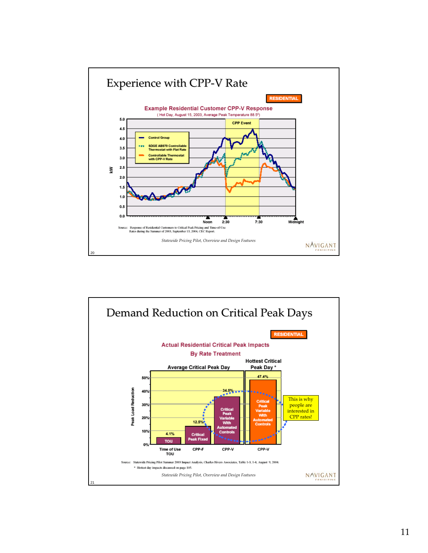

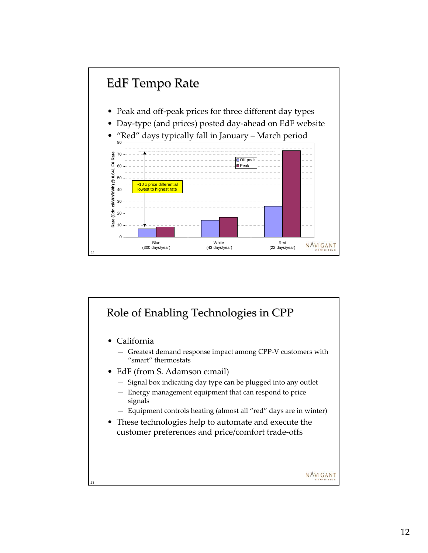

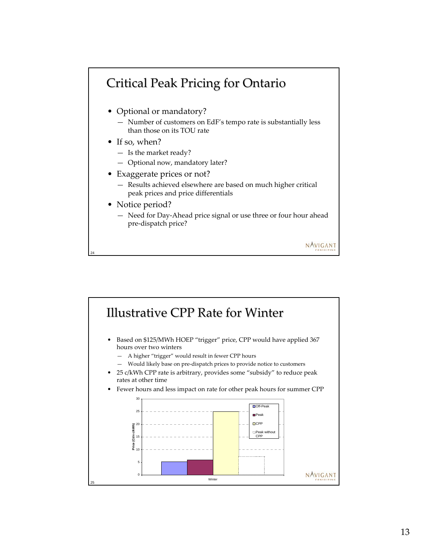## Critical Peak Pricing for Ontario

- Optional or mandatory?
	- Number of customers on EdF's tempo rate is substantially less than those on its TOU rate
- If so, when?
	- Is the market ready?
	- Optional now, mandatory later?
- Exaggerate prices or not?
	- Results achieved elsewhere are based on much higher critical peak prices and price differentials
- Notice period?

24

— Need for Day-Ahead price signal or use three or four hour ahead pre-dispatch price?

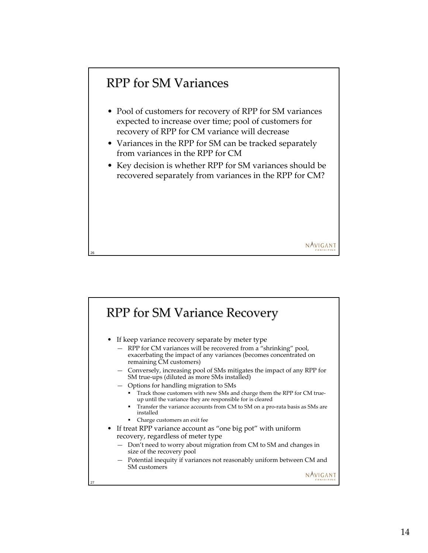### RPP for SM Variances

26

- Pool of customers for recovery of RPP for SM variances expected to increase over time; pool of customers for recovery of RPP for CM variance will decrease
- Variances in the RPP for SM can be tracked separately from variances in the RPP for CM
- Key decision is whether RPP for SM variances should be recovered separately from variances in the RPP for CM?